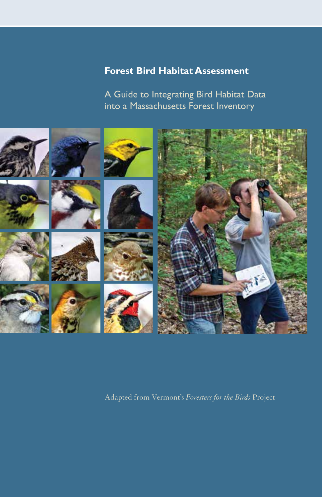# **Forest Bird Habitat Assessment**

A Guide to Integrating Bird Habitat Data into a Massachusetts Forest Inventory



Adapted from Vermont's *Foresters for the Birds* Project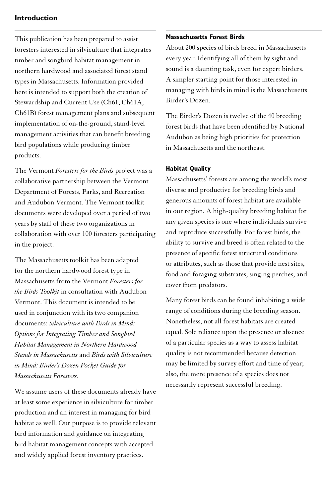# **Introduction**

This publication has been prepared to assist foresters interested in silviculture that integrates timber and songbird habitat management in northern hardwood and associated forest stand types in Massachusetts. Information provided here is intended to support both the creation of Stewardship and Current Use (Ch61, Ch61A, Ch61B) forest management plans and subsequent implementation of on-the-ground, stand-level management activities that can benefit breeding bird populations while producing timber products.

The Vermont *Foresters for the Birds* project was a collaborative partnership between the Vermont Department of Forests, Parks, and Recreation and Audubon Vermont. The Vermont toolkit documents were developed over a period of two years by staff of these two organizations in collaboration with over 100 foresters participating in the project.

The Massachusetts toolkit has been adapted for the northern hardwood forest type in Massachusetts from the Vermont *Foresters for the Birds Toolkit* in consultation with Audubon Vermont. This document is intended to be used in conjunction with its two companion documents: *Silviculture with Birds in Mind: Options for Integrating Timber and Songbird Habitat Management in Northern Hardwood Stands in Massachusetts* and *Birds with Silviculture in Mind: Birder's Dozen Pocket Guide for Massachusetts Foresters*.

We assume users of these documents already have at least some experience in silviculture for timber production and an interest in managing for bird habitat as well. Our purpose is to provide relevant bird information and guidance on integrating bird habitat management concepts with accepted and widely applied forest inventory practices.

# **Massachusetts Forest Birds**

About 200 species of birds breed in Massachusetts every year. Identifying all of them by sight and sound is a daunting task, even for expert birders. A simpler starting point for those interested in managing with birds in mind is the Massachusetts Birder's Dozen.

The Birder's Dozen is twelve of the 40 breeding forest birds that have been identified by National Audubon as being high priorities for protection in Massachusetts and the northeast.

# **Habitat Quality**

Massachusetts' forests are among the world's most diverse and productive for breeding birds and generous amounts of forest habitat are available in our region. A high-quality breeding habitat for any given species is one where individuals survive and reproduce successfully. For forest birds, the ability to survive and breed is often related to the presence of specific forest structural conditions or attributes, such as those that provide nest sites, food and foraging substrates, singing perches, and cover from predators.

Many forest birds can be found inhabiting a wide range of conditions during the breeding season. Nonetheless, not all forest habitats are created equal. Sole reliance upon the presence or absence of a particular species as a way to assess habitat quality is not recommended because detection may be limited by survey effort and time of year; also, the mere presence of a species does not necessarily represent successful breeding.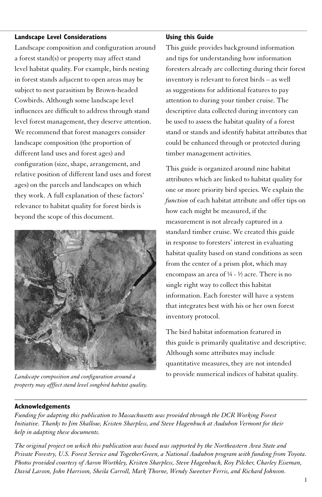# **Landscape Level Considerations**

Landscape composition and configuration around a forest stand(s) or property may affect stand level habitat quality. For example, birds nesting in forest stands adjacent to open areas may be subject to nest parasitism by Brown-headed Cowbirds. Although some landscape level influences are difficult to address through stand level forest management, they deserve attention. We recommend that forest managers consider landscape composition (the proportion of different land uses and forest ages) and configuration (size, shape, arrangement, and relative position of different land uses and forest ages) on the parcels and landscapes on which they work. A full explanation of these factors' relevance to habitat quality for forest birds is beyond the scope of this document.



*Landscape composition and configuration around a property may afffect stand level songbird habitat quality.*

#### **Using this Guide**

This guide provides background information and tips for understanding how information foresters already are collecting during their forest inventory is relevant to forest birds – as well as suggestions for additional features to pay attention to during your timber cruise. The descriptive data collected during inventory can be used to assess the habitat quality of a forest stand or stands and identify habitat attributes that could be enhanced through or protected during timber management activities.

This guide is organized around nine habitat attributes which are linked to habitat quality for one or more priority bird species. We explain the *function* of each habitat attribute and offer tips on how each might be measured, if the measurement is not already captured in a standard timber cruise. We created this guide in response to foresters' interest in evaluating habitat quality based on stand conditions as seen from the center of a prism plot, which may encompass an area of ¼ - ½ acre. There is no single right way to collect this habitat information. Each forester will have a system that integrates best with his or her own forest inventory protocol.

The bird habitat information featured in this guide is primarily qualitative and descriptive. Although some attributes may include quantitative measures, they are not intended to provide numerical indices of habitat quality.

# **Acknowledgements**

*Funding for adapting this publication to Massachusetts was provided through the DCR Working Forest Initiative. Thanks to Jim Shallow, Kristen Sharpless, and Steve Hagenbuch at Audubon Vermont for their help in adapting these documents.*

*The original project on which this publication was based was supported by the Northeastern Area State and Private Forestry, U.S. Forest Service and TogetherGreen, a National Audubon program with funding from Toyota. Photos provided courtesy of Aaron Worthley, Kristen Sharpless, Steve Hagenbuch, Roy Pilcher, Charley Eiseman, David Larson, John Harrison, Sheila Carroll, Mark Thorne, Wendy Sweetser Ferris, and Richard Johnson.*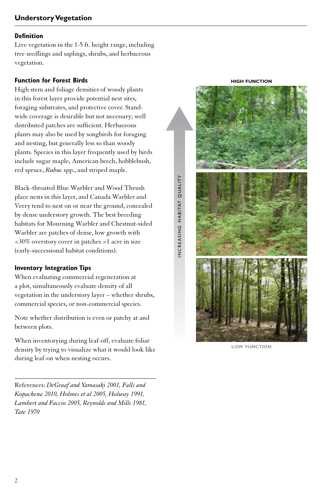Live vegetation in the 1-5 ft. height range, including tree seedlings and saplings, shrubs, and herbaceous vegetation.

#### **Function for Forest Birds**

High stem and foliage densities of woody plants in this forest layer provide potential nest sites, foraging substrates, and protective cover. Standwide coverage is desirable but not necessary; well distributed patches are sufficient. Herbaceous plants may also be used by songbirds for foraging and nesting, but generally less so than woody plants. Species in this layer frequently used by birds include sugar maple, American beech, hobblebush, red spruce, *Rubus* spp., and striped maple.

Black-throated Blue Warbler and Wood Thrush place nests in this layer, and Canada Warbler and Veery tend to nest on or near the ground, concealed by dense understory growth. The best breeding habitats for Mourning Warbler and Chestnut-sided Warbler are patches of dense, low growth with <30% overstory cover in patches >1 acre in size (early-successional habitat conditions).

#### **Inventory Integration Tips**

When evaluating commercial regeneration at a plot, simultaneously evaluate density of all vegetation in the understory layer – whether shrubs, commercial species, or non-commercial species.

Note whether distribution is even or patchy at and between plots.

When inventorying during leaf-off, evaluate foliar density by trying to visualize what it would look like during leaf-on when nesting occurs.

References: *DeGraaf and Yamasaki 2001, Falls and Kopachena 2010, Holmes et al 2005, Holway 1991, Lambert and Faccio 2005, Reynolds and Mills 1981, Tate 1970*



**low function**

**high function**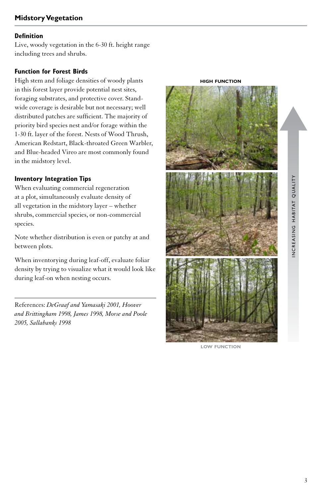Live, woody vegetation in the 6-30 ft. height range including trees and shrubs.

# **Function for Forest Birds**

High stem and foliage densities of woody plants in this forest layer provide potential nest sites, foraging substrates, and protective cover. Standwide coverage is desirable but not necessary; well distributed patches are sufficient. The majority of priority bird species nest and/or forage within the 1-30 ft. layer of the forest. Nests of Wood Thrush, American Redstart, Black-throated Green Warbler, and Blue-headed Vireo are most commonly found in the midstory level.

# **Inventory Integration Tips**

When evaluating commercial regeneration at a plot, simultaneously evaluate density of all vegetation in the midstory layer – whether shrubs, commercial species, or non-commercial species.

Note whether distribution is even or patchy at and between plots.

When inventorying during leaf-off, evaluate foliar density by trying to visualize what it would look like during leaf-on when nesting occurs.

References: *DeGraaf and Yamasaki 2001, Hoover and Brittingham 1998, James 1998, Morse and Poole 2005, Sallabanks 1998*



**low function**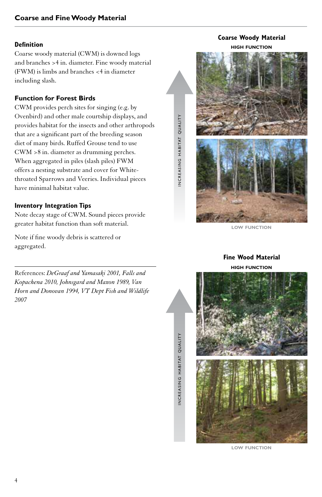Coarse woody material (CWM) is downed logs and branches >4 in. diameter. Fine woody material (FWM) is limbs and branches <4 in diameter including slash.

#### **Function for Forest Birds**

CWM provides perch sites for singing (e.g. by Ovenbird) and other male courtship displays, and provides habitat for the insects and other arthropods that are a significant part of the breeding season diet of many birds. Ruffed Grouse tend to use CWM >8 in. diameter as drumming perches. When aggregated in piles (slash piles) FWM offers a nesting substrate and cover for Whitethroated Sparrows and Veeries. Individual pieces have minimal habitat value.

#### **Inventory Integration Tips**

Note decay stage of CWM. Sound pieces provide greater habitat function than soft material.

Note if fine woody debris is scattered or aggregated.

References: *DeGraaf and Yamasaki 2001, Falls and Kopachena 2010, Johnsgard and Maxon 1989, Van Horn and Donovan 1994, VT Dept Fish and Wildlife 2007*



**Coarse Woody Material**

i n c r e a s i n g h a b i tat q ua l i t y

NCREASING HABITAT QUALITY

i n c r e a s i n g h a b i tat q ua l i t y

INCREASING HABITAT QUALITY

**low function**

# **high function Fine Wood Material**



**low function**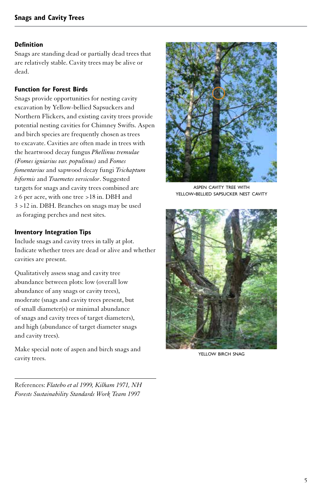Snags are standing dead or partially dead trees that are relatively stable. Cavity trees may be alive or dead.

# **Function for Forest Birds**

Snags provide opportunities for nesting cavity excavation by Yellow-bellied Sapsuckers and Northern Flickers, and existing cavity trees provide potential nesting cavities for Chimney Swifts. Aspen and birch species are frequently chosen as trees to excavate. Cavities are often made in trees with the heartwood decay fungus *Phellinus tremulae (Fomes igniarius var. populinus)* and *Fomes fomentarius* and sapwood decay fungi *Trichaptum biformis* and *Traemetes versicolor*. Suggested targets for snags and cavity trees combined are ≥ 6 per acre, with one tree >18 in. DBH and 3 >12 in. DBH. Branches on snags may be used as foraging perches and nest sites.

## **Inventory Integration Tips**

Include snags and cavity trees in tally at plot. Indicate whether trees are dead or alive and whether cavities are present.

Qualitatively assess snag and cavity tree abundance between plots: low (overall low abundance of any snags or cavity trees), moderate (snags and cavity trees present, but of small diameter(s) or minimal abundance of snags and cavity trees of target diameters), and high (abundance of target diameter snags and cavity trees).

Make special note of aspen and birch snags and cavity trees.

aspen cavity tree with yellow-bellied sapsucker nest cavity



YELLOW BIRCH SNAG

References: *Flatebo et al 1999, Kilham 1971, NH Forests Sustainability Standards Work Team 1997*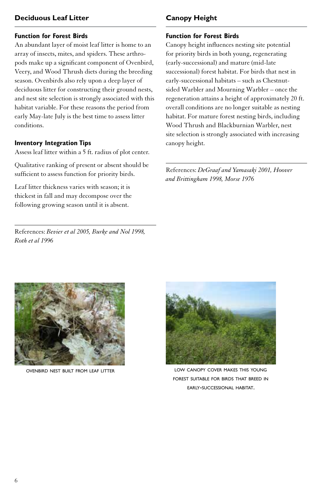# **Deciduous Leaf Litter**

# **Function for Forest Birds**

An abundant layer of moist leaf litter is home to an array of insects, mites, and spiders. These arthropods make up a significant component of Ovenbird, Veery, and Wood Thrush diets during the breeding season. Ovenbirds also rely upon a deep layer of deciduous litter for constructing their ground nests, and nest site selection is strongly associated with this habitat variable. For these reasons the period from early May-late July is the best time to assess litter conditions.

#### **Inventory Integration Tips**

Assess leaf litter within a 5 ft. radius of plot center.

Qualitative ranking of present or absent should be sufficient to assess function for priority birds.

Leaf litter thickness varies with season; it is thickest in fall and may decompose over the following growing season until it is absent.

References: *Bevier et al 2005, Burke and Nol 1998, Roth et al 1996*

# **Canopy Height**

# **Function for Forest Birds**

Canopy height influences nesting site potential for priority birds in both young, regenerating (early-successional) and mature (mid-late successional) forest habitat. For birds that nest in early-successional habitats – such as Chestnutsided Warbler and Mourning Warbler – once the regeneration attains a height of approximately 20 ft. overall conditions are no longer suitable as nesting habitat. For mature forest nesting birds, including Wood Thrush and Blackburnian Warbler, nest site selection is strongly associated with increasing canopy height.

References: *DeGraaf and Yamasaki 2001, Hoover and Brittingham 1998, Morse 1976*



ovenbird nest built from leaf litter



low canopy cover makes this young forest suitable for birds that breed in early-successional habitat.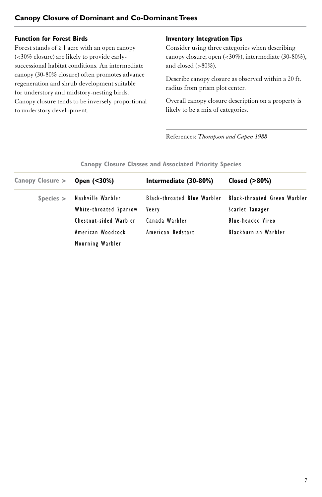# **Canopy Closure of Dominant and Co-Dominant Trees**

#### **Function for Forest Birds**

Forest stands of ≥ 1 acre with an open canopy (<30% closure) are likely to provide earlysuccessional habitat conditions. An intermediate canopy (30-80% closure) often promotes advance regeneration and shrub development suitable for understory and midstory-nesting birds. Canopy closure tends to be inversely proportional to understory development.

# **Inventory Integration Tips**

Consider using three categories when describing canopy closure; open (<30%), intermediate (30-80%), and closed (>80%).

Describe canopy closure as observed within a 20 ft. radius from prism plot center.

Overall canopy closure description on a property is likely to be a mix of categories.

References: *Thompson and Capen 1988*

| Canopy Closure > | Open (<30%)            | Intermediate (30-80%)       | Closed $(>80%)$                     |
|------------------|------------------------|-----------------------------|-------------------------------------|
| $S$ pecies $>$   | Nashville Warbler      | Black-throated Blue Warbler | <b>Black-throated Green Warbler</b> |
|                  | White-throated Sparrow | Veery                       | Scarlet Tanager                     |
|                  | Chestnut-sided Warbler | Canada Warbler              | Blue-headed Vireo                   |
|                  | American Woodcock      | American Redstart           | Blackburnian Warbler                |
|                  | Mourning Warbler       |                             |                                     |

#### **Canopy Closure Classes and Associated Priority Species**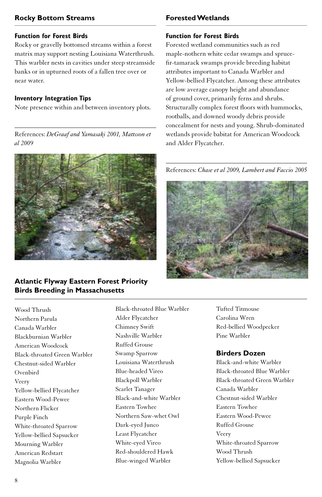# **Rocky Bottom Streams**

# **Function for Forest Birds**

Rocky or gravelly bottomed streams within a forest matrix may support nesting Louisiana Waterthrush. This warbler nests in cavities under steep streamside banks or in upturned roots of a fallen tree over or near water.

#### **Inventory Integration Tips**

Note presence within and between inventory plots.

References: *DeGraaf and Yamasaki 2001, Mattsson et al 2009*



# **Atlantic Flyway Eastern Forest Priority Birds Breeding in Massachusetts**

Wood Thrush Northern Parula Canada Warbler Blackburnian Warbler American Woodcock Black-throated Green Warbler Chestnut-sided Warbler Ovenbird Veery Yellow-bellied Flycatcher Eastern Wood-Pewee Northern Flicker Purple Finch White-throated Sparrow Yellow-bellied Sapsucker Mourning Warbler American Redstart Magnolia Warbler

# wetlands provide babitat for American Woodcock and Alder Flycatcher. References: *Chase et al 2009, Lambert and Faccio 2005*

**Forested Wetlands**

**Function for Forest Birds**

Forested wetland communities such as red maple-nothern white cedar swamps and sprucefir-tamarack swamps provide breeding habitat attributes important to Canada Warbler and Yellow-bellied Flycatcher. Among these attributes are low average canopy height and abundance of ground cover, primarily ferns and shrubs. Structurally complex forest floors with hummocks, rootballs, and downed woody debris provide concealment for nests and young. Shrub-dominated



Black-throated Blue Warbler Alder Flycatcher Chimney Swift Nashville Warbler Ruffed Grouse Swamp Sparrow Louisiana Waterthrush Blue-headed Vireo Blackpoll Warbler Scarlet Tanager Black-and-white Warbler Eastern Towhee Northern Saw-whet Owl Dark-eyed Junco Least Flycatcher White-eyed Vireo Red-shouldered Hawk Blue-winged Warbler

Tufted Titmouse Carolina Wren Red-bellied Woodpecker Pine Warbler

# **Birders Dozen**

Black-and-white Warbler Black-throated Blue Warbler Black-throated Green Warbler Canada Warbler Chestnut-sided Warbler Eastern Towhee Eastern Wood-Pewee Ruffed Grouse Veery White-throated Sparrow Wood Thrush Yellow-bellied Sapsucker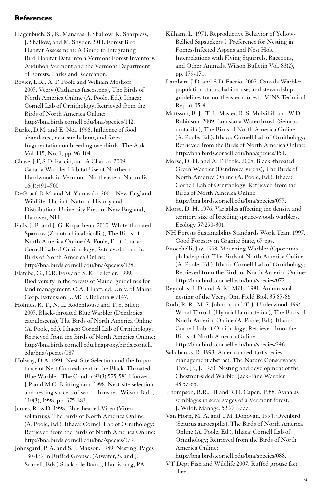# **References**

- Hagenbuch, S., K. Manaras, J. Shallow, K. Sharpless, J. Shallow, and M. Snyder. 2011. Forest Bird Habitat Assessment: A Guide to Integrating Bird Habitat Data into a Vermont Forest Inventory. Audubon Vermont and the Vermont Department of Forests, Parks and Recreation.
- Bevier, L.R., A. F. Poole and William Moskoff. 2005. Veery (Catharus fuscescens), The Birds of North America Online (A. Poole, Ed.). Ithaca: Cornell Lab of Ornithology; Retrieved from the Birds of North America Online: http://bna.birds.cornell.edu/bna/species/142.
- Burke, D.M. and E. Nol. 1998. Influence of food abundance, nest-site habitat, and forest fragmentation on breeding ovenbirds. The Auk, Vol. 115, No. 1, pp. 96-104.
- Chase, J.F, S.D. Faccio, and A.Chacko. 2009. Canada Warbler Habitat Use of Northern Hardwoods in Vermont. Northeastern Naturalist 16(4):491–500
- DeGraaf, R.M. and M. Yamasaki. 2001. New England Wildlife: Habitat, Natural History and Distribution. University Press of New England, Hanover, NH.
- Falls, J. B. and J. G. Kopachena. 2010. White-throated Sparrow (Zonotrichia albicollis), The Birds of North America Online (A. Poole, Ed.). Ithaca: Cornell Lab of Ornithology; Retrieved from the Birds of North America Online: http://bna.birds.cornell.edu/bna/species/128.
- Flatebo, G., C.R. Foss and S. K. Pelletier. 1999. Biodiversity in the forests of Maine: guidelines for land management. C.A. Elliott, ed. Univ. of Maine Coop. Extension. UMCE Bulletin # 7147.
- Holmes, R. T., N. L. Rodenhouse and T. S. Sillett. 2005. Black-throated Blue Warbler (Dendroica caerulescens), The Birds of North America Online (A. Poole, ed.). Ithaca: Cornell Lab of Ornithology; Retrieved from the Birds of North America Online: http://bna.birds.cornell.edu.bnaproxy.birds.cornell. edu/bna/species/087
- Holway, D.A. 1991. Nest-Site Selection and the Importance of Nest Concealment in the Black-Throated Blue Warbler. The Condor 93(3):575-581 Hoover, J.P. and M.C. Brittingham. 1998. Nest-site selection and nesting success of wood thrushes. Wilson Bull., 110(3), 1998, pp. 375-383.
- James, Ross D. 1998. Blue-headed Vireo (Vireo solitarius), The Birds of North America Online (A. Poole, Ed.). Ithaca: Cornell Lab of Ornithology; Retrieved from the Birds of North America Online: http://bna.birds.cornell.edu/bna/species/379.
- Johnsgard, P. A. and S. J. Maxson. 1989. Nesting. Pages 130-137 in Ruffed Grouse. (Atwater, S. and J. Schnell, Eds.) Stackpole Books, Harrisburg, PA.
- Kilham, L. 1971. Reproductive Behavior of Yellow-Bellied Sapsuckers I. Preference for Nesting in Fomes-Infected Aspens and Nest Hole Interrelations with Flying Squirrels, Raccoons, and Other Animals. Wilson Bulletin Vol. 83(2), pp. 159-171.
- Lambert, J.D. and S.D. Faccio. 2005. Canada Warbler population status, habitat use, and stewardship guidelines for northeastern forests. VINS Technical Report 05-4.
- Mattsson, B. J., T. L. Master, R. S. Mulvihill and W.D. Robinson. 2009. Louisiana Waterthrush (Seiurus motacilla), The Birds of North America Online (A. Poole, Ed.). Ithaca: Cornell Lab of Ornithology; Retrieved from the Birds of North America Online: http://bna.birds.cornell.edu/bna/species/151.
- Morse, D. H. and A. F. Poole. 2005. Black-throated Green Warbler (Dendroica virens), The Birds of North America Online (A. Poole, Ed.). Ithaca: Cornell Lab of Ornithology; Retrieved from the Birds of North America Online: http://bna.birds.cornell.edu/bna/species/055.
- Morse, D. H. 1976. Variables affecting the density and territory size of breeding spruce-woods warblers. Ecology 57:290-301.
- NH Forests Sustainability Standards Work Team 1997. Good Forestry in Granite State, 65 pgs.
- Pitocchelli, Jay. 1993. Mourning Warbler (Oporornis philadelphia), The Birds of North America Online (A. Poole, Ed.). Ithaca: Cornell Lab of Ornithology; Retrieved from the Birds of North America Online: http://bna.birds.cornell.edu/bna/species/072
- Reynolds, J. D. and A. M. Mills. 1981. An unusual nesting of the Veery. Ont. Field Biol. 35:85-86
- Roth, R. R., M. S. Johnson and T. J. Underwood. 1996. Wood Thrush (Hylocichla mustelina), The Birds of North America Online (A. Poole, Ed.). Ithaca: Cornell Lab of Ornithology; Retrieved from the Birds of North America Online:
	- http://bna.birds.cornell.edu/bna/species/246.
- Sallabanks, R. 1993. American redstart species management abstract. The Nature Conservancy. Tate, Jr., J. 1970. Nesting and development of the Chestnut-sided Warbler.Jack-Pine Warbler 48:57-65.
- Thompson, R.R., III and R.D. Capen. 1988. Avian as semblages in seral stages of a Vermont forest. J. Wildf. Manage. 52:771-777.
- Van Horn, M. A. and T.M. Donovan. 1994. Ovenbird (Seiurus aurocapilla), The Birds of North America Online (A. Poole, Ed.). Ithaca: Cornell Lab of Ornithology; Retrieved from the Birds of North America Online:

http://bna.birds.cornell.edu/bna/species/088.

VT Dept Fish and Wildlife 2007. Ruffed grouse fact sheet.